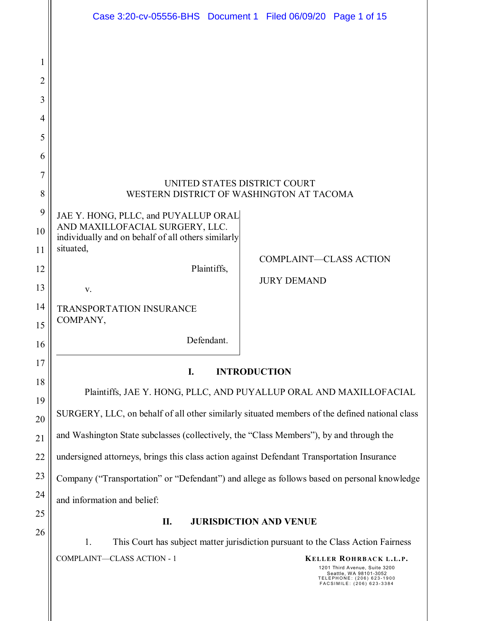|                | Case 3:20-cv-05556-BHS  Document 1  Filed 06/09/20  Page 1 of 15                              |  |  |  |  |  |  |  |  |  |
|----------------|-----------------------------------------------------------------------------------------------|--|--|--|--|--|--|--|--|--|
|                |                                                                                               |  |  |  |  |  |  |  |  |  |
| 1              |                                                                                               |  |  |  |  |  |  |  |  |  |
| $\overline{2}$ |                                                                                               |  |  |  |  |  |  |  |  |  |
| 3              |                                                                                               |  |  |  |  |  |  |  |  |  |
| 4              |                                                                                               |  |  |  |  |  |  |  |  |  |
| 5              |                                                                                               |  |  |  |  |  |  |  |  |  |
| 6              |                                                                                               |  |  |  |  |  |  |  |  |  |
| 7              | UNITED STATES DISTRICT COURT                                                                  |  |  |  |  |  |  |  |  |  |
| 8              | WESTERN DISTRICT OF WASHINGTON AT TACOMA                                                      |  |  |  |  |  |  |  |  |  |
| 9              | JAE Y. HONG, PLLC, and PUYALLUP ORAL                                                          |  |  |  |  |  |  |  |  |  |
| 10             | AND MAXILLOFACIAL SURGERY, LLC.<br>individually and on behalf of all others similarly         |  |  |  |  |  |  |  |  |  |
| 11             | situated,<br><b>COMPLAINT-CLASS ACTION</b>                                                    |  |  |  |  |  |  |  |  |  |
| 12             | Plaintiffs,<br><b>JURY DEMAND</b>                                                             |  |  |  |  |  |  |  |  |  |
| 13             | V.                                                                                            |  |  |  |  |  |  |  |  |  |
| 14<br>15       | <b>TRANSPORTATION INSURANCE</b><br>COMPANY,                                                   |  |  |  |  |  |  |  |  |  |
| 16             | Defendant.                                                                                    |  |  |  |  |  |  |  |  |  |
| 17             |                                                                                               |  |  |  |  |  |  |  |  |  |
| 18             | <b>INTRODUCTION</b><br>I.                                                                     |  |  |  |  |  |  |  |  |  |
| 19             | Plaintiffs, JAE Y. HONG, PLLC, AND PUYALLUP ORAL AND MAXILLOFACIAL                            |  |  |  |  |  |  |  |  |  |
| 20             | SURGERY, LLC, on behalf of all other similarly situated members of the defined national class |  |  |  |  |  |  |  |  |  |
| 21             | and Washington State subclasses (collectively, the "Class Members"), by and through the       |  |  |  |  |  |  |  |  |  |
| 22             | undersigned attorneys, brings this class action against Defendant Transportation Insurance    |  |  |  |  |  |  |  |  |  |
| 23             | Company ("Transportation" or "Defendant") and allege as follows based on personal knowledge   |  |  |  |  |  |  |  |  |  |
| 24             | and information and belief:                                                                   |  |  |  |  |  |  |  |  |  |
| 25             | П.<br><b>JURISDICTION AND VENUE</b>                                                           |  |  |  |  |  |  |  |  |  |
| 26             | This Court has subject matter jurisdiction pursuant to the Class Action Fairness<br>1.        |  |  |  |  |  |  |  |  |  |
|                | COMPLAINT-CLASS ACTION - 1<br>KELLER ROHRBACK L.L.P.                                          |  |  |  |  |  |  |  |  |  |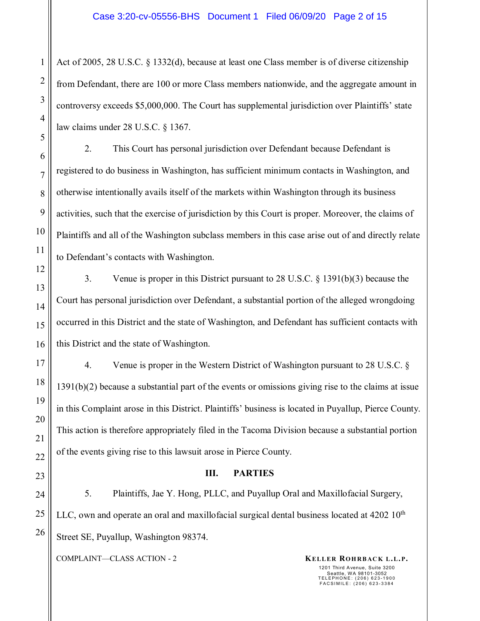Act of 2005, 28 U.S.C. § 1332(d), because at least one Class member is of diverse citizenship from Defendant, there are 100 or more Class members nationwide, and the aggregate amount in controversy exceeds \$5,000,000. The Court has supplemental jurisdiction over Plaintiffs' state law claims under 28 U.S.C. § 1367.

2. This Court has personal jurisdiction over Defendant because Defendant is registered to do business in Washington, has sufficient minimum contacts in Washington, and otherwise intentionally avails itself of the markets within Washington through its business activities, such that the exercise of jurisdiction by this Court is proper. Moreover, the claims of Plaintiffs and all of the Washington subclass members in this case arise out of and directly relate to Defendant's contacts with Washington.

3. Venue is proper in this District pursuant to 28 U.S.C. § 1391(b)(3) because the Court has personal jurisdiction over Defendant, a substantial portion of the alleged wrongdoing occurred in this District and the state of Washington, and Defendant has sufficient contacts with this District and the state of Washington.

4. Venue is proper in the Western District of Washington pursuant to 28 U.S.C. § 1391(b)(2) because a substantial part of the events or omissions giving rise to the claims at issue in this Complaint arose in this District. Plaintiffs' business is located in Puyallup, Pierce County. This action is therefore appropriately filed in the Tacoma Division because a substantial portion of the events giving rise to this lawsuit arose in Pierce County.

#### **III. PARTIES**

5. Plaintiffs, Jae Y. Hong, PLLC, and Puyallup Oral and Maxillofacial Surgery, LLC, own and operate an oral and maxillofacial surgical dental business located at  $4202 \, 10^{th}$ Street SE, Puyallup, Washington 98374.

COMPLAINT—CLASS ACTION - 2 **KELLER ROHRBACK L.L.P.**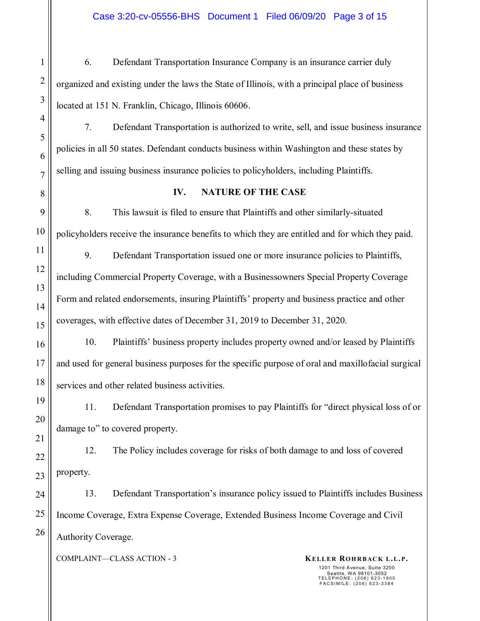Case 3:20-cv-05556-BHS Document 1 Filed 06/09/20 Page 3 of 15

6. Defendant Transportation Insurance Company is an insurance carrier duly organized and existing under the laws the State of Illinois, with a principal place of business located at 151 N. Franklin, Chicago, Illinois 60606.

7. Defendant Transportation is authorized to write, sell, and issue business insurance policies in all 50 states. Defendant conducts business within Washington and these states by selling and issuing business insurance policies to policyholders, including Plaintiffs.

#### **IV. NATURE OF THE CASE**

8. This lawsuit is filed to ensure that Plaintiffs and other similarly-situated policyholders receive the insurance benefits to which they are entitled and for which they paid.

9. Defendant Transportation issued one or more insurance policies to Plaintiffs, including Commercial Property Coverage, with a Businessowners Special Property Coverage Form and related endorsements, insuring Plaintiffs' property and business practice and other coverages, with effective dates of December 31, 2019 to December 31, 2020.

10. Plaintiffs' business property includes property owned and/or leased by Plaintiffs and used for general business purposes for the specific purpose of oral and maxillofacial surgical services and other related business activities.

11. Defendant Transportation promises to pay Plaintiffs for "direct physical loss of or damage to" to covered property.

12. The Policy includes coverage for risks of both damage to and loss of covered property.

13. Defendant Transportation's insurance policy issued to Plaintiffs includes Business Income Coverage, Extra Expense Coverage, Extended Business Income Coverage and Civil Authority Coverage.

COMPLAINT—CLASS ACTION - 3 **KELLER ROHRBACK L.L.P.**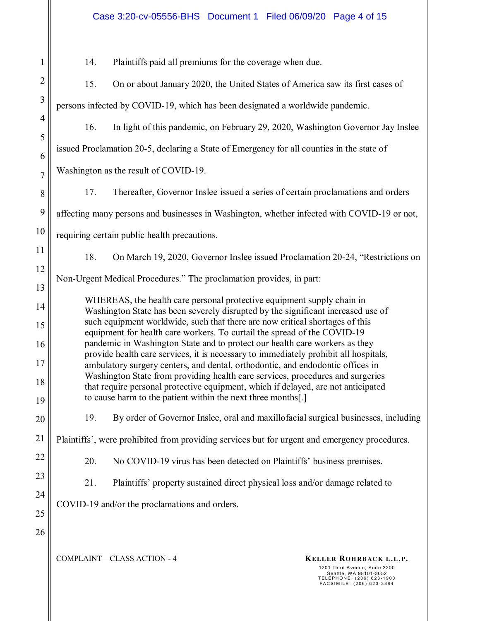|                     | Case 3:20-cv-05556-BHS  Document 1  Filed 06/09/20  Page 4 of 15                                                                                                          |  |  |  |  |  |  |  |  |
|---------------------|---------------------------------------------------------------------------------------------------------------------------------------------------------------------------|--|--|--|--|--|--|--|--|
| 1                   | Plaintiffs paid all premiums for the coverage when due.<br>14.                                                                                                            |  |  |  |  |  |  |  |  |
| $\overline{2}$      | 15.<br>On or about January 2020, the United States of America saw its first cases of                                                                                      |  |  |  |  |  |  |  |  |
| 3                   | persons infected by COVID-19, which has been designated a worldwide pandemic.                                                                                             |  |  |  |  |  |  |  |  |
| $\overline{4}$      | 16.<br>In light of this pandemic, on February 29, 2020, Washington Governor Jay Inslee                                                                                    |  |  |  |  |  |  |  |  |
| 5                   | issued Proclamation 20-5, declaring a State of Emergency for all counties in the state of                                                                                 |  |  |  |  |  |  |  |  |
| 6<br>$\overline{7}$ | Washington as the result of COVID-19.                                                                                                                                     |  |  |  |  |  |  |  |  |
| 8                   | 17.<br>Thereafter, Governor Inslee issued a series of certain proclamations and orders                                                                                    |  |  |  |  |  |  |  |  |
| 9                   | affecting many persons and businesses in Washington, whether infected with COVID-19 or not,                                                                               |  |  |  |  |  |  |  |  |
| 10                  | requiring certain public health precautions.                                                                                                                              |  |  |  |  |  |  |  |  |
| 11                  | 18.<br>On March 19, 2020, Governor Inslee issued Proclamation 20-24, "Restrictions on                                                                                     |  |  |  |  |  |  |  |  |
| 12                  | Non-Urgent Medical Procedures." The proclamation provides, in part:                                                                                                       |  |  |  |  |  |  |  |  |
| 13                  |                                                                                                                                                                           |  |  |  |  |  |  |  |  |
| 14                  | WHEREAS, the health care personal protective equipment supply chain in<br>Washington State has been severely disrupted by the significant increased use of                |  |  |  |  |  |  |  |  |
| 15                  | such equipment worldwide, such that there are now critical shortages of this<br>equipment for health care workers. To curtail the spread of the COVID-19                  |  |  |  |  |  |  |  |  |
| 16<br>17            | pandemic in Washington State and to protect our health care workers as they<br>provide health care services, it is necessary to immediately prohibit all hospitals,       |  |  |  |  |  |  |  |  |
| 18                  | ambulatory surgery centers, and dental, orthodontic, and endodontic offices in<br>Washington State from providing health care services, procedures and surgeries          |  |  |  |  |  |  |  |  |
| 19                  | that require personal protective equipment, which if delayed, are not anticipated<br>to cause harm to the patient within the next three months[.]                         |  |  |  |  |  |  |  |  |
| 20                  | By order of Governor Inslee, oral and maxillofacial surgical businesses, including<br>19.                                                                                 |  |  |  |  |  |  |  |  |
| 21                  | Plaintiffs', were prohibited from providing services but for urgent and emergency procedures.                                                                             |  |  |  |  |  |  |  |  |
| 22                  | 20.<br>No COVID-19 virus has been detected on Plaintiffs' business premises.                                                                                              |  |  |  |  |  |  |  |  |
| 23                  | Plaintiffs' property sustained direct physical loss and/or damage related to<br>21.                                                                                       |  |  |  |  |  |  |  |  |
| 24                  | COVID-19 and/or the proclamations and orders.                                                                                                                             |  |  |  |  |  |  |  |  |
| 25                  |                                                                                                                                                                           |  |  |  |  |  |  |  |  |
| 26                  | COMPLAINT-CLASS ACTION - 4<br>KELLER ROHRBACK L.L.P.<br>1201 Third Avenue, Suite 3200<br>Seattle, WA 98101-3052<br>TELEPHONE: (206) 623-1900<br>FACSIMILE: (206) 623-3384 |  |  |  |  |  |  |  |  |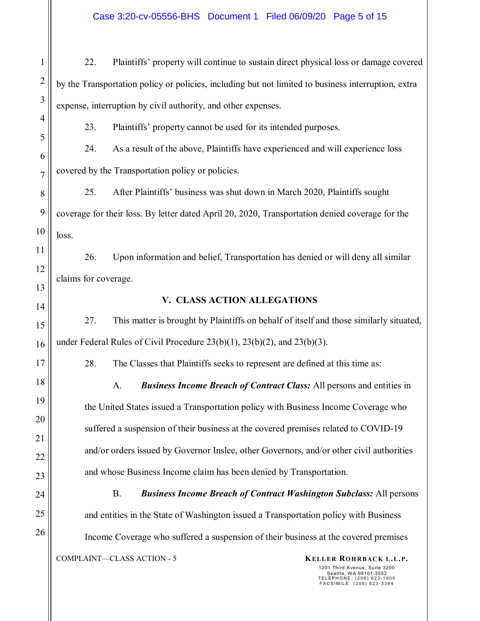Case 3:20-cv-05556-BHS Document 1 Filed 06/09/20 Page 5 of 15

22. Plaintiffs' property will continue to sustain direct physical loss or damage covered by the Transportation policy or policies, including but not limited to business interruption, extra expense, interruption by civil authority, and other expenses.

23. Plaintiffs' property cannot be used for its intended purposes.

24. As a result of the above, Plaintiffs have experienced and will experience loss covered by the Transportation policy or policies.

25. After Plaintiffs' business was shut down in March 2020, Plaintiffs sought coverage for their loss. By letter dated April 20, 2020, Transportation denied coverage for the loss.

26. Upon information and belief, Transportation has denied or will deny all similar claims for coverage.

### **V. CLASS ACTION ALLEGATIONS**

27. This matter is brought by Plaintiffs on behalf of itself and those similarly situated, under Federal Rules of Civil Procedure 23(b)(1), 23(b)(2), and 23(b)(3).

28. The Classes that Plaintiffs seeks to represent are defined at this time as:

A. *Business Income Breach of Contract Class:* All persons and entities in the United States issued a Transportation policy with Business Income Coverage who suffered a suspension of their business at the covered premises related to COVID-19 and/or orders issued by Governor Inslee, other Governors, and/or other civil authorities and whose Business Income claim has been denied by Transportation.

B. *Business Income Breach of Contract Washington Subclass:* All persons and entities in the State of Washington issued a Transportation policy with Business Income Coverage who suffered a suspension of their business at the covered premises

COMPLAINT—CLASS ACTION - 5 **KELLER ROHRBACK L.L.P.**

1

2

3

4

5

6

7

8

9

10

11

12

13

14

15

16

17

18

19

20

21

22

23

24

25

26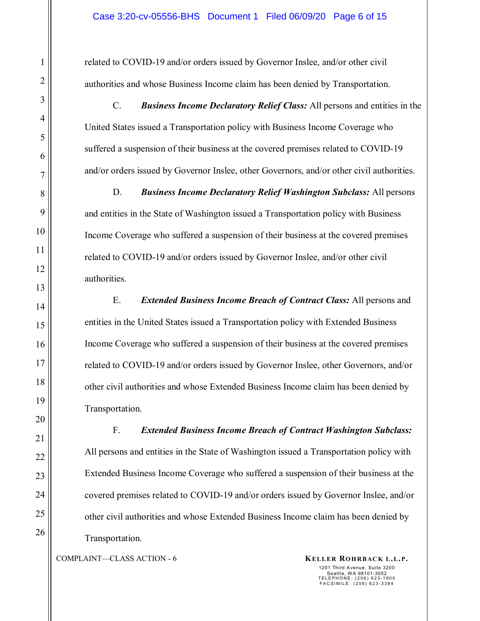related to COVID-19 and/or orders issued by Governor Inslee, and/or other civil authorities and whose Business Income claim has been denied by Transportation.

C. *Business Income Declaratory Relief Class:* All persons and entities in the United States issued a Transportation policy with Business Income Coverage who suffered a suspension of their business at the covered premises related to COVID-19 and/or orders issued by Governor Inslee, other Governors, and/or other civil authorities.

D. *Business Income Declaratory Relief Washington Subclass:* All persons and entities in the State of Washington issued a Transportation policy with Business Income Coverage who suffered a suspension of their business at the covered premises related to COVID-19 and/or orders issued by Governor Inslee, and/or other civil authorities.

E. *Extended Business Income Breach of Contract Class:* All persons and entities in the United States issued a Transportation policy with Extended Business Income Coverage who suffered a suspension of their business at the covered premises related to COVID-19 and/or orders issued by Governor Inslee, other Governors, and/or other civil authorities and whose Extended Business Income claim has been denied by Transportation.

F. *Extended Business Income Breach of Contract Washington Subclass:* All persons and entities in the State of Washington issued a Transportation policy with Extended Business Income Coverage who suffered a suspension of their business at the covered premises related to COVID-19 and/or orders issued by Governor Inslee, and/or other civil authorities and whose Extended Business Income claim has been denied by Transportation.

COMPLAINT—CLASS ACTION - 6 **KELLER ROHRBACK L.L.P.**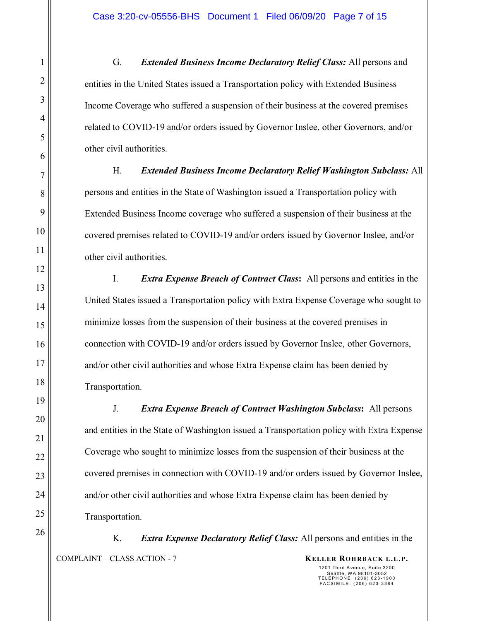G. *Extended Business Income Declaratory Relief Class:* All persons and entities in the United States issued a Transportation policy with Extended Business Income Coverage who suffered a suspension of their business at the covered premises related to COVID-19 and/or orders issued by Governor Inslee, other Governors, and/or other civil authorities.

H. *Extended Business Income Declaratory Relief Washington Subclass:* All persons and entities in the State of Washington issued a Transportation policy with Extended Business Income coverage who suffered a suspension of their business at the covered premises related to COVID-19 and/or orders issued by Governor Inslee, and/or other civil authorities.

I. *Extra Expense Breach of Contract Class***:** All persons and entities in the United States issued a Transportation policy with Extra Expense Coverage who sought to minimize losses from the suspension of their business at the covered premises in connection with COVID-19 and/or orders issued by Governor Inslee, other Governors, and/or other civil authorities and whose Extra Expense claim has been denied by Transportation.

J. *Extra Expense Breach of Contract Washington Subclass***:** All persons and entities in the State of Washington issued a Transportation policy with Extra Expense Coverage who sought to minimize losses from the suspension of their business at the covered premises in connection with COVID-19 and/or orders issued by Governor Inslee, and/or other civil authorities and whose Extra Expense claim has been denied by Transportation.

COMPLAINT—CLASS ACTION - 7 **KELLER ROHRBACK L.L.P.** K. *Extra Expense Declaratory Relief Class:* All persons and entities in the

26

1

2

3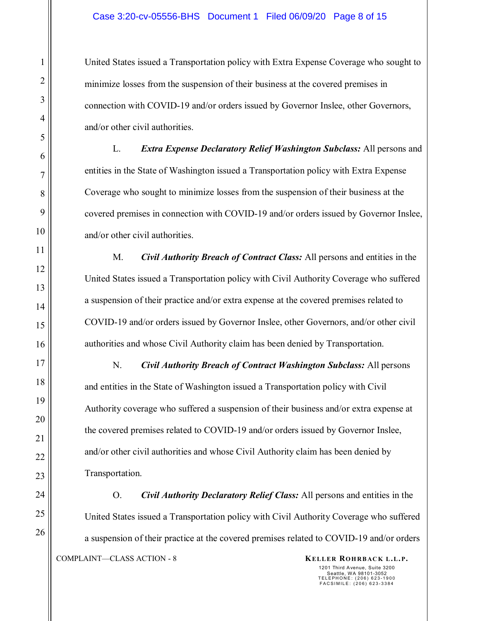United States issued a Transportation policy with Extra Expense Coverage who sought to minimize losses from the suspension of their business at the covered premises in connection with COVID-19 and/or orders issued by Governor Inslee, other Governors, and/or other civil authorities.

L. *Extra Expense Declaratory Relief Washington Subclass:* All persons and entities in the State of Washington issued a Transportation policy with Extra Expense Coverage who sought to minimize losses from the suspension of their business at the covered premises in connection with COVID-19 and/or orders issued by Governor Inslee, and/or other civil authorities.

M. *Civil Authority Breach of Contract Class:* All persons and entities in the United States issued a Transportation policy with Civil Authority Coverage who suffered a suspension of their practice and/or extra expense at the covered premises related to COVID-19 and/or orders issued by Governor Inslee, other Governors, and/or other civil authorities and whose Civil Authority claim has been denied by Transportation.

N. *Civil Authority Breach of Contract Washington Subclass:* All persons and entities in the State of Washington issued a Transportation policy with Civil Authority coverage who suffered a suspension of their business and/or extra expense at the covered premises related to COVID-19 and/or orders issued by Governor Inslee, and/or other civil authorities and whose Civil Authority claim has been denied by Transportation.

COMPLAINT—CLASS ACTION - 8 **KELLER ROHRBACK L.L.P.** O. *Civil Authority Declaratory Relief Class:* All persons and entities in the United States issued a Transportation policy with Civil Authority Coverage who suffered a suspension of their practice at the covered premises related to COVID-19 and/or orders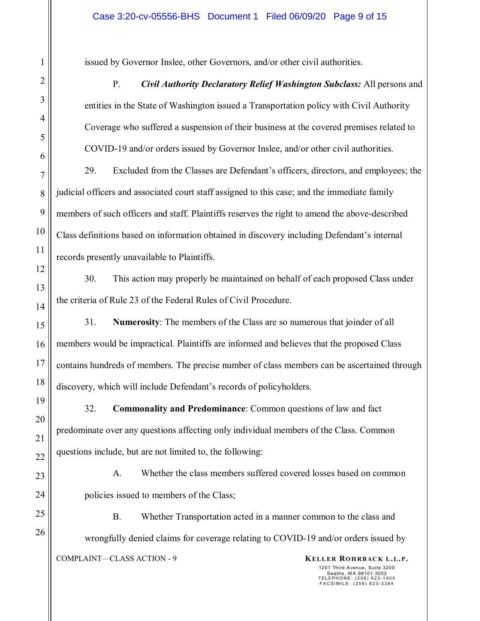issued by Governor Inslee, other Governors, and/or other civil authorities.

P. *Civil Authority Declaratory Relief Washington Subclass:* All persons and entities in the State of Washington issued a Transportation policy with Civil Authority Coverage who suffered a suspension of their business at the covered premises related to COVID-19 and/or orders issued by Governor Inslee, and/or other civil authorities.

29. Excluded from the Classes are Defendant's officers, directors, and employees; the judicial officers and associated court staff assigned to this case; and the immediate family members of such officers and staff. Plaintiffs reserves the right to amend the above-described Class definitions based on information obtained in discovery including Defendant's internal records presently unavailable to Plaintiffs.

30. This action may properly be maintained on behalf of each proposed Class under the criteria of Rule 23 of the Federal Rules of Civil Procedure.

31. **Numerosity**: The members of the Class are so numerous that joinder of all members would be impractical. Plaintiffs are informed and believes that the proposed Class contains hundreds of members. The precise number of class members can be ascertained through discovery, which will include Defendant's records of policyholders.

32. **Commonality and Predominance**: Common questions of law and fact predominate over any questions affecting only individual members of the Class. Common questions include, but are not limited to, the following:

A. Whether the class members suffered covered losses based on common policies issued to members of the Class;

B. Whether Transportation acted in a manner common to the class and wrongfully denied claims for coverage relating to COVID-19 and/or orders issued by

COMPLAINT—CLASS ACTION - 9 **KELLER ROHRBACK L.L.P.**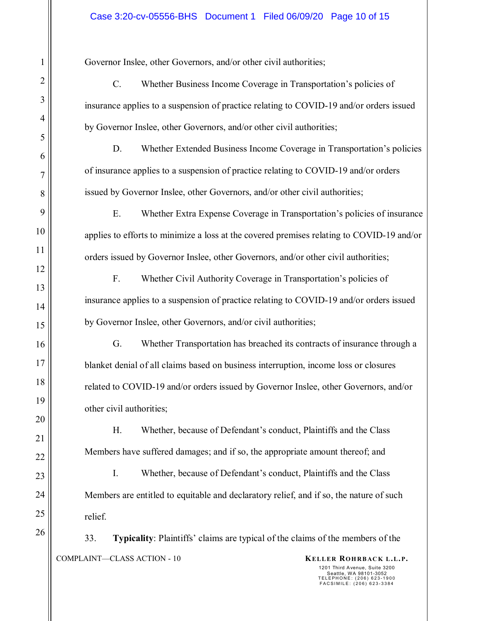Governor Inslee, other Governors, and/or other civil authorities;

C. Whether Business Income Coverage in Transportation's policies of insurance applies to a suspension of practice relating to COVID-19 and/or orders issued by Governor Inslee, other Governors, and/or other civil authorities;

D. Whether Extended Business Income Coverage in Transportation's policies of insurance applies to a suspension of practice relating to COVID-19 and/or orders issued by Governor Inslee, other Governors, and/or other civil authorities;

E. Whether Extra Expense Coverage in Transportation's policies of insurance applies to efforts to minimize a loss at the covered premises relating to COVID-19 and/or orders issued by Governor Inslee, other Governors, and/or other civil authorities;

F. Whether Civil Authority Coverage in Transportation's policies of insurance applies to a suspension of practice relating to COVID-19 and/or orders issued by Governor Inslee, other Governors, and/or civil authorities;

G. Whether Transportation has breached its contracts of insurance through a blanket denial of all claims based on business interruption, income loss or closures related to COVID-19 and/or orders issued by Governor Inslee, other Governors, and/or other civil authorities;

H. Whether, because of Defendant's conduct, Plaintiffs and the Class Members have suffered damages; and if so, the appropriate amount thereof; and

I. Whether, because of Defendant's conduct, Plaintiffs and the Class Members are entitled to equitable and declaratory relief, and if so, the nature of such relief.

COMPLAINT—CLASS ACTION - 10 **KELLER ROHRBACK L.L.P.** 33. **Typicality**: Plaintiffs' claims are typical of the claims of the members of the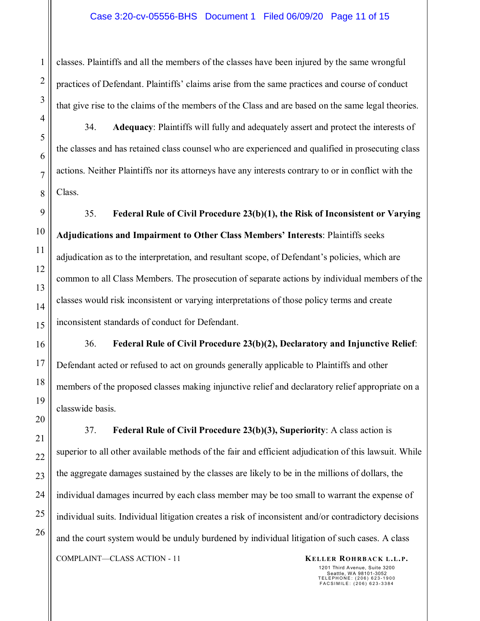classes. Plaintiffs and all the members of the classes have been injured by the same wrongful practices of Defendant. Plaintiffs' claims arise from the same practices and course of conduct that give rise to the claims of the members of the Class and are based on the same legal theories.

34. **Adequacy**: Plaintiffs will fully and adequately assert and protect the interests of the classes and has retained class counsel who are experienced and qualified in prosecuting class actions. Neither Plaintiffs nor its attorneys have any interests contrary to or in conflict with the Class.

35. **Federal Rule of Civil Procedure 23(b)(1), the Risk of Inconsistent or Varying Adjudications and Impairment to Other Class Members' Interests**: Plaintiffs seeks adjudication as to the interpretation, and resultant scope, of Defendant's policies, which are common to all Class Members. The prosecution of separate actions by individual members of the classes would risk inconsistent or varying interpretations of those policy terms and create inconsistent standards of conduct for Defendant.

36. **Federal Rule of Civil Procedure 23(b)(2), Declaratory and Injunctive Relief**: Defendant acted or refused to act on grounds generally applicable to Plaintiffs and other members of the proposed classes making injunctive relief and declaratory relief appropriate on a classwide basis.

COMPLAINT—CLASS ACTION - 11 **KELLER ROHRBACK L.L.P.** 37. **Federal Rule of Civil Procedure 23(b)(3), Superiority**: A class action is superior to all other available methods of the fair and efficient adjudication of this lawsuit. While the aggregate damages sustained by the classes are likely to be in the millions of dollars, the individual damages incurred by each class member may be too small to warrant the expense of individual suits. Individual litigation creates a risk of inconsistent and/or contradictory decisions and the court system would be unduly burdened by individual litigation of such cases. A class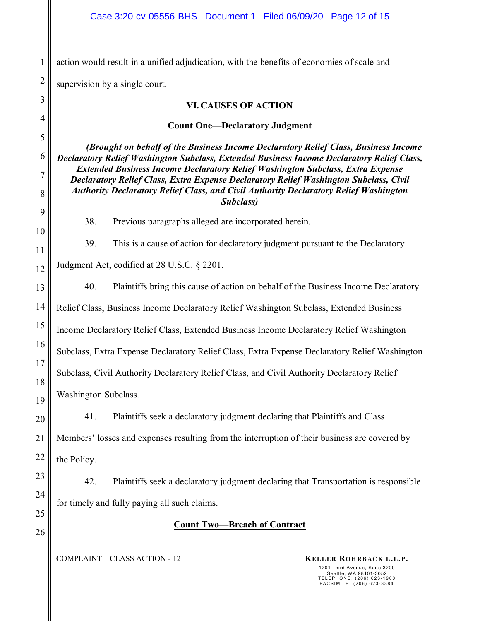1 2 action would result in a unified adjudication, with the benefits of economies of scale and supervision by a single court.

#### **VI. CAUSES OF ACTION**

#### **Count One—Declaratory Judgment**

*(Brought on behalf of the Business Income Declaratory Relief Class, Business Income Declaratory Relief Washington Subclass, Extended Business Income Declaratory Relief Class, Extended Business Income Declaratory Relief Washington Subclass, Extra Expense Declaratory Relief Class, Extra Expense Declaratory Relief Washington Subclass, Civil Authority Declaratory Relief Class, and Civil Authority Declaratory Relief Washington Subclass)* 

38. Previous paragraphs alleged are incorporated herein.

39. This is a cause of action for declaratory judgment pursuant to the Declaratory

Judgment Act, codified at 28 U.S.C. § 2201.

3

4

5

6

7

8

9

10

11

12

13

14

15

16

17

18

19

20

21

22

23

24

25

26

40. Plaintiffs bring this cause of action on behalf of the Business Income Declaratory Relief Class, Business Income Declaratory Relief Washington Subclass, Extended Business Income Declaratory Relief Class, Extended Business Income Declaratory Relief Washington Subclass, Extra Expense Declaratory Relief Class, Extra Expense Declaratory Relief Washington Subclass, Civil Authority Declaratory Relief Class, and Civil Authority Declaratory Relief Washington Subclass.

41. Plaintiffs seek a declaratory judgment declaring that Plaintiffs and Class Members' losses and expenses resulting from the interruption of their business are covered by the Policy.

42. Plaintiffs seek a declaratory judgment declaring that Transportation is responsible for timely and fully paying all such claims.

## **Count Two—Breach of Contract**

COMPLAINT—CLASS ACTION - 12 **KELLER ROHRBACK L.L.P.**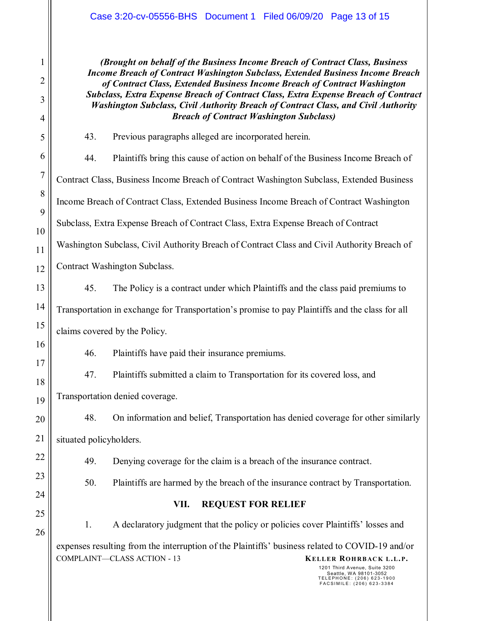*(Brought on behalf of the Business Income Breach of Contract Class, Business Income Breach of Contract Washington Subclass, Extended Business Income Breach of Contract Class, Extended Business Income Breach of Contract Washington Subclass, Extra Expense Breach of Contract Class, Extra Expense Breach of Contract Washington Subclass, Civil Authority Breach of Contract Class, and Civil Authority Breach of Contract Washington Subclass)*

44. Plaintiffs bring this cause of action on behalf of the Business Income Breach of Contract Class, Business Income Breach of Contract Washington Subclass, Extended Business Income Breach of Contract Class, Extended Business Income Breach of Contract Washington Subclass, Extra Expense Breach of Contract Class, Extra Expense Breach of Contract Washington Subclass, Civil Authority Breach of Contract Class and Civil Authority Breach of Contract Washington Subclass.

43. Previous paragraphs alleged are incorporated herein.

45. The Policy is a contract under which Plaintiffs and the class paid premiums to Transportation in exchange for Transportation's promise to pay Plaintiffs and the class for all claims covered by the Policy.

46. Plaintiffs have paid their insurance premiums.

47. Plaintiffs submitted a claim to Transportation for its covered loss, and Transportation denied coverage.

48. On information and belief, Transportation has denied coverage for other similarly situated policyholders.

49. Denying coverage for the claim is a breach of the insurance contract.

50. Plaintiffs are harmed by the breach of the insurance contract by Transportation.

# **VII. REQUEST FOR RELIEF**

COMPLAINT—CLASS ACTION - 13 **KELLER ROHRBACK L.L.P.** 1. A declaratory judgment that the policy or policies cover Plaintiffs' losses and expenses resulting from the interruption of the Plaintiffs' business related to COVID-19 and/or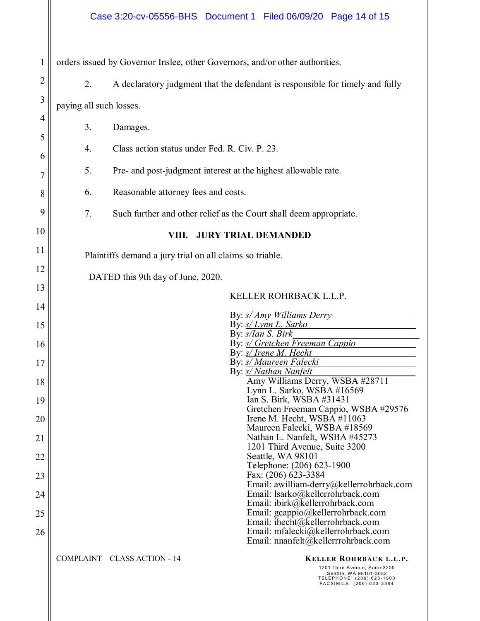| 1              | orders issued by Governor Inslee, other Governors, and/or other authorities.                                                                                                      |  |  |  |  |  |  |  |  |
|----------------|-----------------------------------------------------------------------------------------------------------------------------------------------------------------------------------|--|--|--|--|--|--|--|--|
| $\overline{2}$ | 2.<br>A declaratory judgment that the defendant is responsible for timely and fully                                                                                               |  |  |  |  |  |  |  |  |
| 3              | paying all such losses.                                                                                                                                                           |  |  |  |  |  |  |  |  |
| 4              | 3.<br>Damages.                                                                                                                                                                    |  |  |  |  |  |  |  |  |
| 5              | Class action status under Fed. R. Civ. P. 23.<br>4.                                                                                                                               |  |  |  |  |  |  |  |  |
| 6              | 5.<br>Pre- and post-judgment interest at the highest allowable rate.                                                                                                              |  |  |  |  |  |  |  |  |
| 7<br>8         | Reasonable attorney fees and costs.<br>6.                                                                                                                                         |  |  |  |  |  |  |  |  |
| 9              |                                                                                                                                                                                   |  |  |  |  |  |  |  |  |
| 10             | 7.<br>Such further and other relief as the Court shall deem appropriate.                                                                                                          |  |  |  |  |  |  |  |  |
| 11             | <b>JURY TRIAL DEMANDED</b><br>VIII.                                                                                                                                               |  |  |  |  |  |  |  |  |
| 12             | Plaintiffs demand a jury trial on all claims so triable.                                                                                                                          |  |  |  |  |  |  |  |  |
| 13             | DATED this 9th day of June, 2020.                                                                                                                                                 |  |  |  |  |  |  |  |  |
| 14             | KELLER ROHRBACK L.L.P.                                                                                                                                                            |  |  |  |  |  |  |  |  |
| 15             | By: s/ Amy Williams Derry<br>By: s/ Lynn L. Sarko                                                                                                                                 |  |  |  |  |  |  |  |  |
| 16             | By: s/Ian S. Birk<br>By: <i>s/ Gretchen Freeman Cappio</i>                                                                                                                        |  |  |  |  |  |  |  |  |
| 17             | By: s/ Irene M. Hecht<br>By: <i>s/ Maureen Falecki</i><br>By: s/ Nathan Nanfelt                                                                                                   |  |  |  |  |  |  |  |  |
| 18             | Amy Williams Derry, WSBA #28711<br>Lynn L. Sarko, WSBA #16569                                                                                                                     |  |  |  |  |  |  |  |  |
| 19             | Ian S. Birk, WSBA #31431<br>Gretchen Freeman Cappio, WSBA #29576                                                                                                                  |  |  |  |  |  |  |  |  |
| 20             | Irene M. Hecht, WSBA #11063<br>Maureen Falecki, WSBA #18569                                                                                                                       |  |  |  |  |  |  |  |  |
| 21             | Nathan L. Nanfelt, WSBA #45273<br>1201 Third Avenue, Suite 3200                                                                                                                   |  |  |  |  |  |  |  |  |
| 22             | Seattle, WA 98101<br>Telephone: (206) 623-1900                                                                                                                                    |  |  |  |  |  |  |  |  |
| 23             | Fax: (206) 623-3384<br>Email: awilliam-derry@kellerrohrback.com                                                                                                                   |  |  |  |  |  |  |  |  |
| 24             | Email: lsarko@kellerrohrback.com<br>Email: ibirk@kellerrohrback.com                                                                                                               |  |  |  |  |  |  |  |  |
| 25             | Email: gcappio@kellerrohrback.com<br>Email: ihecht@kellerrohrback.com                                                                                                             |  |  |  |  |  |  |  |  |
| 26             | Email: mfalecki@kellerrohrback.com<br>Email: nnanfelt@kellerrrohrback.com                                                                                                         |  |  |  |  |  |  |  |  |
|                | <b>COMPLAINT-CLASS ACTION - 14</b><br>KELLER ROHRBACK L.L.P.<br>1201 Third Avenue, Suite 3200<br>Seattle, WA 98101-3052<br>TELEPHONE: (206) 623-1900<br>FACSIMILE: (206) 623-3384 |  |  |  |  |  |  |  |  |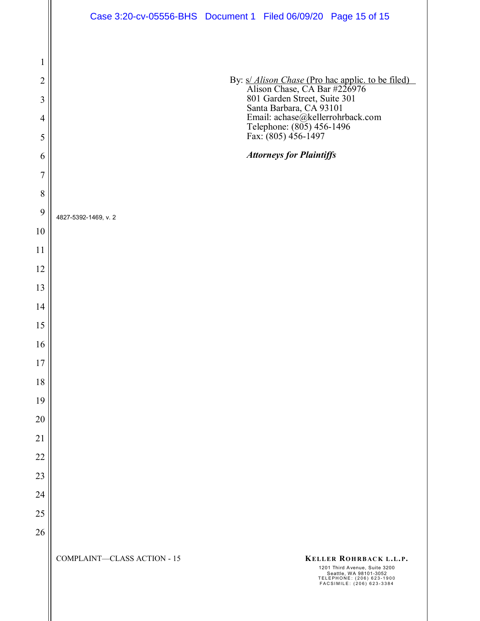